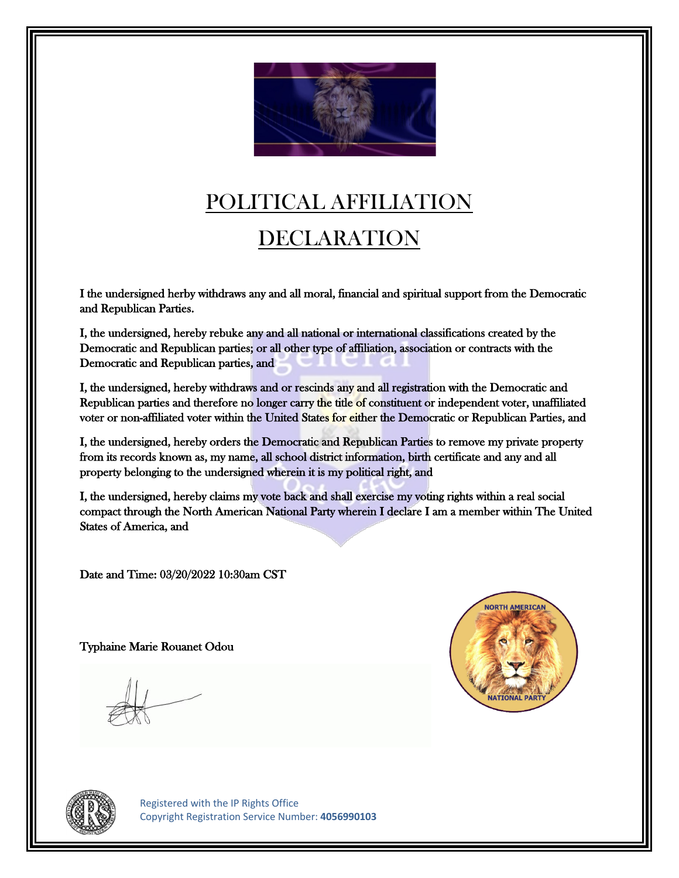

## POLITICAL AFFILIATION

## DECLARATION

I the undersigned herby withdraws any and all moral, financial and spiritual support from the Democratic and Republican Parties.

I, the undersigned, hereby rebuke any and all national or international classifications created by the Democratic and Republican parties; or all other type of affiliation, association or contracts with the Democratic and Republican parties, and

I, the undersigned, hereby withdraws and or rescinds any and all registration with the Democratic and Republican parties and therefore no longer carry the title of constituent or independent voter, unaffiliated voter or non-affiliated voter within the United States for either the Democratic or Republican Parties, and

I, the undersigned, hereby orders the Democratic and Republican Parties to remove my private property from its records known as, my name, all school district information, birth certificate and any and all property belonging to the undersigned wherein it is my political right, and

I, the undersigned, hereby claims my vote back and shall exercise my voting rights within a real social compact through the North American National Party wherein I declare I am a member within The United States of America, and

Date and Time: 03/20/2022 10:30am CST

Typhaine Marie Rouanet Odou





 Registered with the IP Rights Office Copyright Registration Service Number: **4056990103**